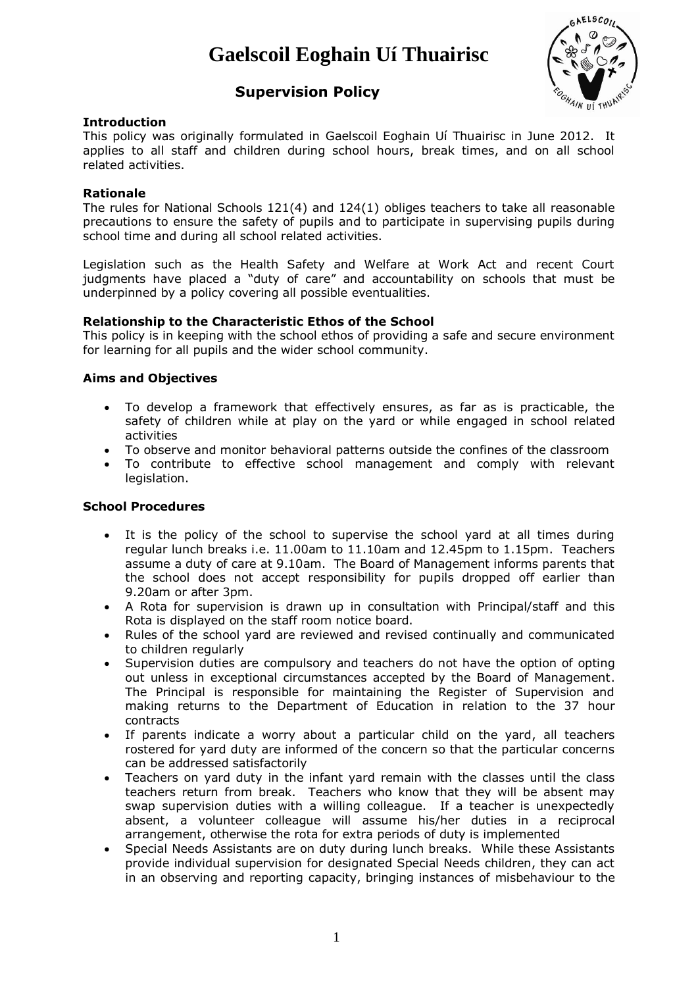# **Gaelscoil Eoghain Uí Thuairisc**



# **Supervision Policy**

# **Introduction**

This policy was originally formulated in Gaelscoil Eoghain Uí Thuairisc in June 2012. It applies to all staff and children during school hours, break times, and on all school related activities.

#### **Rationale**

The rules for National Schools 121(4) and 124(1) obliges teachers to take all reasonable precautions to ensure the safety of pupils and to participate in supervising pupils during school time and during all school related activities.

Legislation such as the Health Safety and Welfare at Work Act and recent Court judgments have placed a "duty of care" and accountability on schools that must be underpinned by a policy covering all possible eventualities.

#### **Relationship to the Characteristic Ethos of the School**

This policy is in keeping with the school ethos of providing a safe and secure environment for learning for all pupils and the wider school community.

#### **Aims and Objectives**

- To develop a framework that effectively ensures, as far as is practicable, the safety of children while at play on the yard or while engaged in school related activities
- To observe and monitor behavioral patterns outside the confines of the classroom
- To contribute to effective school management and comply with relevant legislation.

# **School Procedures**

- It is the policy of the school to supervise the school yard at all times during regular lunch breaks i.e. 11.00am to 11.10am and 12.45pm to 1.15pm. Teachers assume a duty of care at 9.10am. The Board of Management informs parents that the school does not accept responsibility for pupils dropped off earlier than 9.20am or after 3pm.
- A Rota for supervision is drawn up in consultation with Principal/staff and this Rota is displayed on the staff room notice board.
- Rules of the school yard are reviewed and revised continually and communicated to children regularly
- Supervision duties are compulsory and teachers do not have the option of opting out unless in exceptional circumstances accepted by the Board of Management. The Principal is responsible for maintaining the Register of Supervision and making returns to the Department of Education in relation to the 37 hour contracts
- If parents indicate a worry about a particular child on the yard, all teachers rostered for yard duty are informed of the concern so that the particular concerns can be addressed satisfactorily
- Teachers on yard duty in the infant yard remain with the classes until the class teachers return from break. Teachers who know that they will be absent may swap supervision duties with a willing colleague. If a teacher is unexpectedly absent, a volunteer colleague will assume his/her duties in a reciprocal arrangement, otherwise the rota for extra periods of duty is implemented
- Special Needs Assistants are on duty during lunch breaks. While these Assistants provide individual supervision for designated Special Needs children, they can act in an observing and reporting capacity, bringing instances of misbehaviour to the